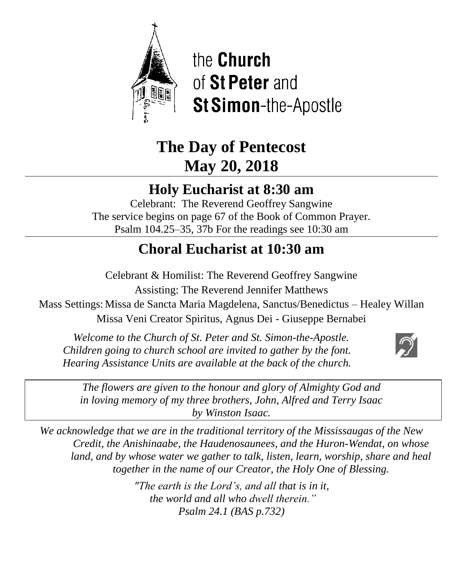

the **Church** of St Peter and **St Simon-the-Apostle** 

# **The Day of Pentecost May 20, 2018**

## **Holy Eucharist at 8:30 am**

Celebrant: The Reverend Geoffrey Sangwine The service begins on page 67 of the Book of Common Prayer. Psalm 104.25–35, 37b For the readings see 10:30 am

## **Choral Eucharist at 10:30 am**

Celebrant & Homilist: The Reverend Geoffrey Sangwine Assisting: The Reverend Jennifer Matthews Mass Settings: Missa de Sancta Maria Magdelena, Sanctus/Benedictus – Healey Willan Missa Veni Creator Spiritus, Agnus Dei - Giuseppe Bernabei ì

 *Welcome to the Church of St. Peter and St. Simon-the-Apostle. Children going to church school are invited to gather by the font. Hearing Assistance Units are available at the back of the church.*



*The flowers are given to the honour and glory of Almighty God and in loving memory of my three brothers, John, Alfred and Terry Isaac by Winston Isaac.*

*We acknowledge that we are in the traditional territory of the Mississaugas of the New Credit, the Anishinaabe, the Haudenosaunees, and the Huron-Wendat, on whose land, and by whose water we gather to talk, listen, learn, worship, share and heal together in the name of our Creator, the Holy One of Blessing.*

> *"The earth is the Lord's, and all that is in it, the world and all who dwell therein." Psalm 24.1 (BAS p.732)*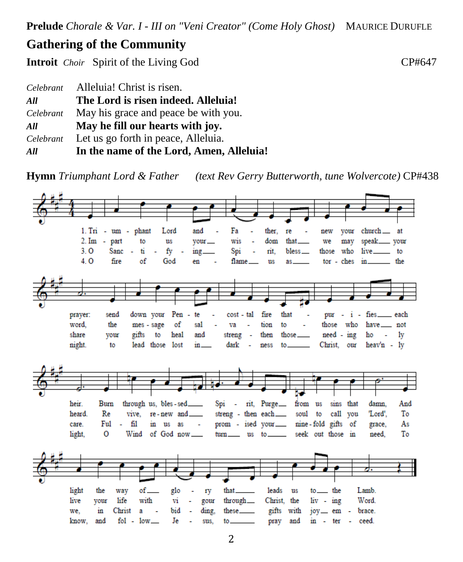**Prelude** *Chorale & Var. I - III on "Veni Creator" (Come Holy Ghost)* MAURICE DURUFLE

### **Gathering of the Community**

**Introit** *Choir* Spirit of the Living God **CP#647** 

| Celebrant | Alleluia! Christ is risen.               |
|-----------|------------------------------------------|
| All       | The Lord is risen indeed. Alleluia!      |
| Celebrant | May his grace and peace be with you.     |
| All       | May he fill our hearts with joy.         |
| Celebrant | Let us go forth in peace, Alleluia.      |
| All       | In the name of the Lord, Amen, Alleluia! |

**Hymn** *Triumphant Lord & Father (text Rev Gerry Butterworth, tune Wolvercote)* CP#438

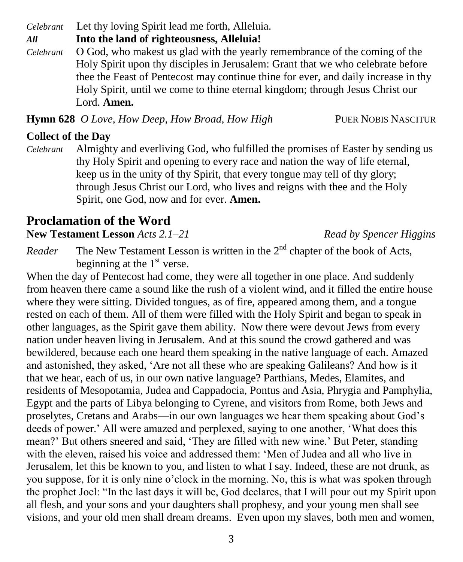*Celebrant* Let thy loving Spirit lead me forth, Alleluia.

*All* **Into the land of righteousness, Alleluia!**

*Celebrant* O God, who makest us glad with the yearly remembrance of the coming of the Holy Spirit upon thy disciples in Jerusalem: Grant that we who celebrate before thee the Feast of Pentecost may continue thine for ever, and daily increase in thy Holy Spirit, until we come to thine eternal kingdom; through Jesus Christ our Lord. **Amen.**

**Hymn 628** O Love, How Deep, How Broad, How High PUER NOBIS NASCITUR

## **Collect of the Day**

*Celebrant* Almighty and everliving God, who fulfilled the promises of Easter by sending us thy Holy Spirit and opening to every race and nation the way of life eternal, keep us in the unity of thy Spirit, that every tongue may tell of thy glory; through Jesus Christ our Lord, who lives and reigns with thee and the Holy Spirit, one God, now and for ever. **Amen.**

## **Proclamation of the Word**

**New Testament Lesson** *Acts 2.1–21**Read by Spencer Higgins*

*Reader* The New Testament Lesson is written in the  $2<sup>nd</sup>$  chapter of the book of Acts, beginning at the  $1<sup>st</sup>$  verse.

When the day of Pentecost had come, they were all together in one place. And suddenly from heaven there came a sound like the rush of a violent wind, and it filled the entire house where they were sitting. Divided tongues, as of fire, appeared among them, and a tongue rested on each of them. All of them were filled with the Holy Spirit and began to speak in other languages, as the Spirit gave them ability. Now there were devout Jews from every nation under heaven living in Jerusalem. And at this sound the crowd gathered and was bewildered, because each one heard them speaking in the native language of each. Amazed and astonished, they asked, 'Are not all these who are speaking Galileans? And how is it that we hear, each of us, in our own native language? Parthians, Medes, Elamites, and residents of Mesopotamia, Judea and Cappadocia, Pontus and Asia, Phrygia and Pamphylia, Egypt and the parts of Libya belonging to Cyrene, and visitors from Rome, both Jews and proselytes, Cretans and Arabs—in our own languages we hear them speaking about God's deeds of power.' All were amazed and perplexed, saying to one another, 'What does this mean?' But others sneered and said, 'They are filled with new wine.' But Peter, standing with the eleven, raised his voice and addressed them: 'Men of Judea and all who live in Jerusalem, let this be known to you, and listen to what I say. Indeed, these are not drunk, as you suppose, for it is only nine o'clock in the morning. No, this is what was spoken through the prophet Joel: "In the last days it will be, God declares, that I will pour out my Spirit upon all flesh, and your sons and your daughters shall prophesy, and your young men shall see visions, and your old men shall dream dreams. Even upon my slaves, both men and women,

3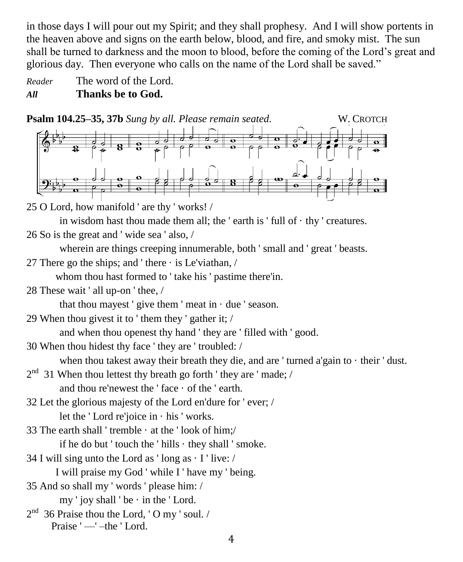in those days I will pour out my Spirit; and they shall prophesy. And I will show portents in the heaven above and signs on the earth below, blood, and fire, and smoky mist. The sun shall be turned to darkness and the moon to blood, before the coming of the Lord's great and glorious day. Then everyone who calls on the name of the Lord shall be saved."

*Reader* The word of the Lord. *All* **Thanks be to God.**

**Psalm 104.25–35, 37b** *Sung by all. Please remain seated.* W. CROTCH

25 O Lord, how manifold ' are thy ' works! /

in wisdom hast thou made them all; the 'earth is ' full of  $\cdot$  thy ' creatures.

26 So is the great and ' wide sea ' also, /

wherein are things creeping innumerable, both ' small and ' great ' beasts.

27 There go the ships; and 'there  $\cdot$  is Le'viathan, /

whom thou hast formed to ' take his ' pastime there'in.

28 These wait ' all up-on ' thee, /

that thou may est ' give them ' meat in  $\cdot$  due ' season.

29 When thou givest it to ' them they ' gather it; /

and when thou openest thy hand ' they are ' filled with ' good.

30 When thou hidest thy face ' they are ' troubled: /

when thou takest away their breath they die, and are ' turned a'gain to  $\cdot$  their ' dust.

- $2<sup>nd</sup>$  31 When thou lettest thy breath go forth ' they are ' made; / and thou re'newest the ' face  $\cdot$  of the ' earth.
- 32 Let the glorious majesty of the Lord en'dure for ' ever; /

let the ' Lord re'joice in · his ' works.

33 The earth shall ' tremble  $\cdot$  at the ' look of him;/

if he do but ' touch the ' hills  $\cdot$  they shall ' smoke.

34 I will sing unto the Lord as 'long as  $\cdot$  I 'live: /

I will praise my God ' while I ' have my ' being.

35 And so shall my ' words ' please him: /

my ' joy shall ' be  $\cdot$  in the ' Lord.

 $2<sup>nd</sup>$  36 Praise thou the Lord, 'O my ' soul. / Praise ' — '-the ' Lord.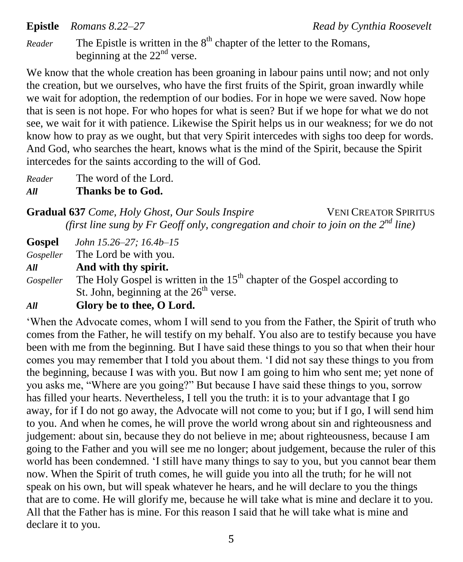**Epistle** *Romans 8.22–27 Read by Cynthia Roosevelt* 

*Reader* The Epistle is written in the  $8<sup>th</sup>$  chapter of the letter to the Romans, beginning at the  $22<sup>nd</sup>$  verse.

We know that the whole creation has been groaning in labour pains until now; and not only the creation, but we ourselves, who have the first fruits of the Spirit, groan inwardly while we wait for adoption, the redemption of our bodies. For in hope we were saved. Now hope that is seen is not hope. For who hopes for what is seen? But if we hope for what we do not see, we wait for it with patience. Likewise the Spirit helps us in our weakness; for we do not know how to pray as we ought, but that very Spirit intercedes with sighs too deep for words. And God, who searches the heart, knows what is the mind of the Spirit, because the Spirit intercedes for the saints according to the will of God.

*Reader* The word of the Lord.

*All* **Thanks be to God.**

**Gradual 637** *Come, Holy Ghost, Our Souls Inspire* VENI CREATOR SPIRITUS *(first line sung by Fr Geoff only, congregation and choir to join on the 2nd line)* 

**Gospel** *John 15.26–27; 16.4b–15*

*Gospeller* The Lord be with you.

*All* **And with thy spirit.**

Gospeller The Holy Gospel is written in the 15<sup>th</sup> chapter of the Gospel according to St. John, beginning at the  $26<sup>th</sup>$  verse.

#### *All* **Glory be to thee, O Lord.**

'When the Advocate comes, whom I will send to you from the Father, the Spirit of truth who comes from the Father, he will testify on my behalf. You also are to testify because you have been with me from the beginning. But I have said these things to you so that when their hour comes you may remember that I told you about them. 'I did not say these things to you from the beginning, because I was with you. But now I am going to him who sent me; yet none of you asks me, "Where are you going?" But because I have said these things to you, sorrow has filled your hearts. Nevertheless, I tell you the truth: it is to your advantage that I go away, for if I do not go away, the Advocate will not come to you; but if I go, I will send him to you. And when he comes, he will prove the world wrong about sin and righteousness and judgement: about sin, because they do not believe in me; about righteousness, because I am going to the Father and you will see me no longer; about judgement, because the ruler of this world has been condemned. 'I still have many things to say to you, but you cannot bear them now. When the Spirit of truth comes, he will guide you into all the truth; for he will not speak on his own, but will speak whatever he hears, and he will declare to you the things that are to come. He will glorify me, because he will take what is mine and declare it to you. All that the Father has is mine. For this reason I said that he will take what is mine and declare it to you.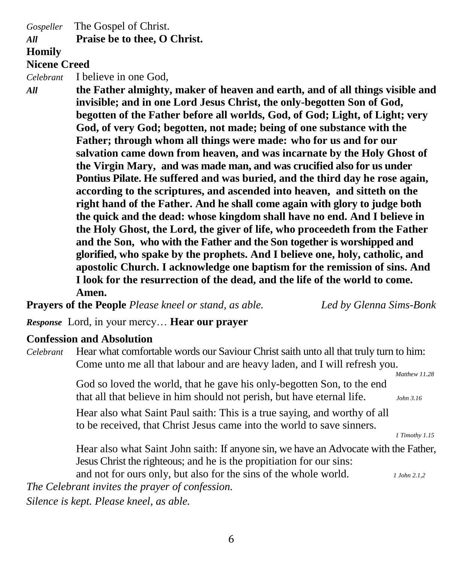*Gospeller* The Gospel of Christ.

#### *All* **Praise be to thee, O Christ.**

#### **Homily**

#### **Nicene Creed**

*Celebrant* I believe in one God,

*All* **the Father almighty, maker of heaven and earth, and of all things visible and invisible; and in one Lord Jesus Christ, the only-begotten Son of God, begotten of the Father before all worlds, God, of God; Light, of Light; very God, of very God; begotten, not made; being of one substance with the Father; through whom all things were made: who for us and for our salvation came down from heaven, and was incarnate by the Holy Ghost of the Virgin Mary, and was made man, and was crucified also for us under Pontius Pilate. He suffered and was buried, and the third day he rose again, according to the scriptures, and ascended into heaven, and sitteth on the right hand of the Father. And he shall come again with glory to judge both the quick and the dead: whose kingdom shall have no end. And I believe in the Holy Ghost, the Lord, the giver of life, who proceedeth from the Father and the Son, who with the Father and the Son together is worshipped and glorified, who spake by the prophets. And I believe one, holy, catholic, and apostolic Church. I acknowledge one baptism for the remission of sins. And I look for the resurrection of the dead, and the life of the world to come. Amen.**

**Prayers of the People** *Please kneel or stand, as able. Led by Glenna Sims-Bonk*

*Response* Lord, in your mercy… **Hear our prayer**

#### **Confession and Absolution**

*Celebrant* Hear what comfortable words our Saviour Christ saith unto all that truly turn to him: Come unto me all that labour and are heavy laden, and I will refresh you.  *Matthew 11.28*

> God so loved the world, that he gave his only-begotten Son, to the end that all that believe in him should not perish, but have eternal life. *John 3.16*

Hear also what Saint Paul saith: This is a true saying, and worthy of all to be received, that Christ Jesus came into the world to save sinners.

*1 Timothy 1.15*

Hear also what Saint John saith: If anyone sin, we have an Advocate with the Father, Jesus Christ the righteous; and he is the propitiation for our sins:

and not for ours only, but also for the sins of the whole world. *1 John 2.1,2 The Celebrant invites the prayer of confession.*

*Silence is kept. Please kneel, as able.*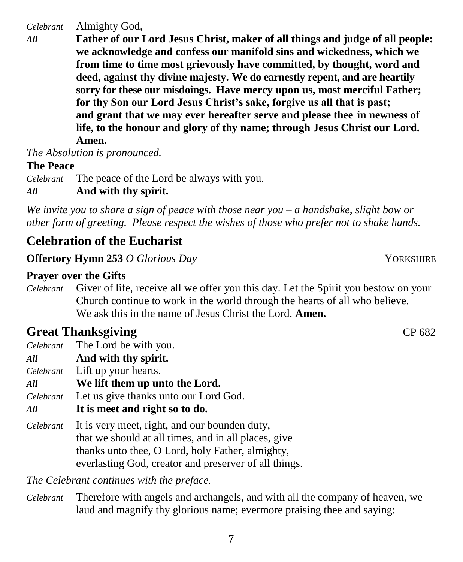*Celebrant* Almighty God,

*All* **Father of our Lord Jesus Christ, maker of all things and judge of all people: we acknowledge and confess our manifold sins and wickedness, which we from time to time most grievously have committed, by thought, word and deed, against thy divine majesty. We do earnestly repent, and are heartily sorry for these our misdoings. Have mercy upon us, most merciful Father; for thy Son our Lord Jesus Christ's sake, forgive us all that is past; and grant that we may ever hereafter serve and please thee in newness of life, to the honour and glory of thy name; through Jesus Christ our Lord. Amen.**

*The Absolution is pronounced.*

#### **The Peace**

*Celebrant* The peace of the Lord be always with you.

#### *All* **And with thy spirit.**

*We invite you to share a sign of peace with those near you – a handshake, slight bow or other form of greeting. Please respect the wishes of those who prefer not to shake hands.*

## **Celebration of the Eucharist**

**Offertory Hymn 253** *O Glorious Day* **YORKSHIRE** 

#### **Prayer over the Gifts**

*Celebrant* Giver of life, receive all we offer you this day. Let the Spirit you bestow on your Church continue to work in the world through the hearts of all who believe. We ask this in the name of Jesus Christ the Lord. **Amen.**

## **Great Thanksgiving CP 682**

- *Celebrant* The Lord be with you.
- *All* **And with thy spirit.**
- *Celebrant* Lift up your hearts.
- *All* **We lift them up unto the Lord.**
- *Celebrant* Let us give thanks unto our Lord God.
- *All* **It is meet and right so to do.**
- *Celebrant* It is very meet, right, and our bounden duty, that we should at all times, and in all places, give thanks unto thee, O Lord, holy Father, almighty, everlasting God, creator and preserver of all things.

*The Celebrant continues with the preface.* 

*Celebrant* Therefore with angels and archangels, and with all the company of heaven, we laud and magnify thy glorious name; evermore praising thee and saying: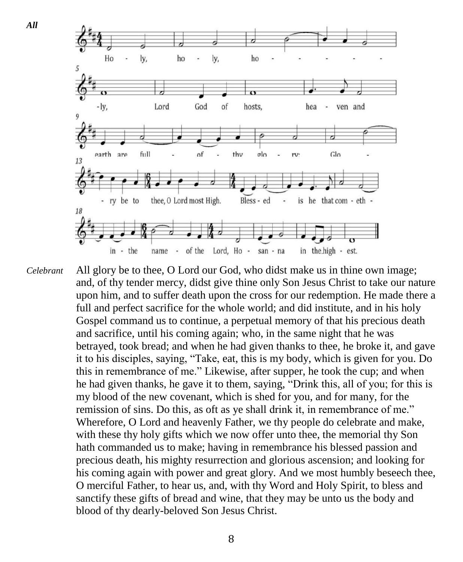

*Celebrant* All glory be to thee, O Lord our God, who didst make us in thine own image; and, of thy tender mercy, didst give thine only Son Jesus Christ to take our nature upon him, and to suffer death upon the cross for our redemption. He made there a full and perfect sacrifice for the whole world; and did institute, and in his holy Gospel command us to continue, a perpetual memory of that his precious death and sacrifice, until his coming again; who, in the same night that he was betrayed, took bread; and when he had given thanks to thee, he broke it, and gave it to his disciples, saying, "Take, eat, this is my body, which is given for you. Do this in remembrance of me." Likewise, after supper, he took the cup; and when he had given thanks, he gave it to them, saying, "Drink this, all of you; for this is my blood of the new covenant, which is shed for you, and for many, for the remission of sins. Do this, as oft as ye shall drink it, in remembrance of me." Wherefore, O Lord and heavenly Father, we thy people do celebrate and make, with these thy holy gifts which we now offer unto thee, the memorial thy Son hath commanded us to make; having in remembrance his blessed passion and precious death, his mighty resurrection and glorious ascension; and looking for his coming again with power and great glory. And we most humbly beseech thee, O merciful Father, to hear us, and, with thy Word and Holy Spirit, to bless and sanctify these gifts of bread and wine, that they may be unto us the body and blood of thy dearly-beloved Son Jesus Christ.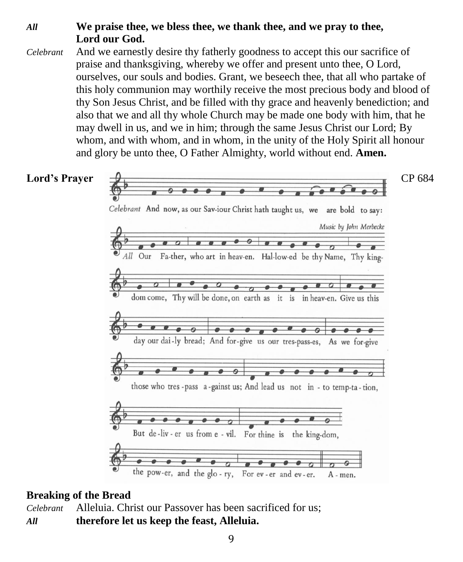### *All* **We praise thee, we bless thee, we thank thee, and we pray to thee, Lord our God.**

*Celebrant* And we earnestly desire thy fatherly goodness to accept this our sacrifice of praise and thanksgiving, whereby we offer and present unto thee, O Lord, ourselves, our souls and bodies. Grant, we beseech thee, that all who partake of this holy communion may worthily receive the most precious body and blood of thy Son Jesus Christ, and be filled with thy grace and heavenly benediction; and also that we and all thy whole Church may be made one body with him, that he may dwell in us, and we in him; through the same Jesus Christ our Lord; By whom, and with whom, and in whom, in the unity of the Holy Spirit all honour and glory be unto thee, O Father Almighty, world without end. **Amen.**



#### **Breaking of the Bread**

*Celebrant* Alleluia. Christ our Passover has been sacrificed for us; *All* **therefore let us keep the feast, Alleluia.**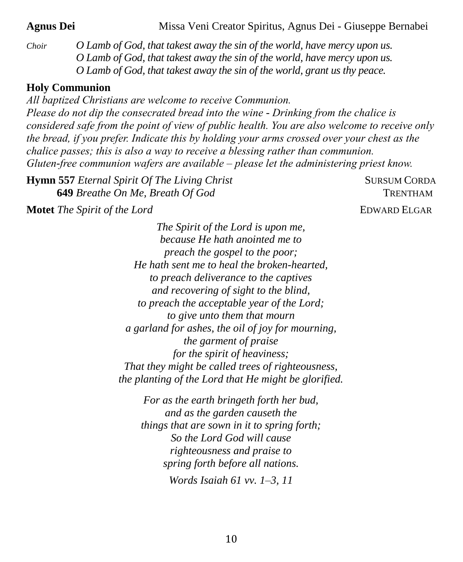**Agnus Dei** Missa Veni Creator Spiritus, Agnus Dei - Giuseppe Bernabei

*Choir O Lamb of God, that takest away the sin of the world, have mercy upon us. O Lamb of God, that takest away the sin of the world, have mercy upon us. O Lamb of God, that takest away the sin of the world, grant us thy peace.*

#### **Holy Communion**

*All baptized Christians are welcome to receive Communion. Please do not dip the consecrated bread into the wine - Drinking from the chalice is considered safe from the point of view of public health. You are also welcome to receive only the bread, if you prefer. Indicate this by holding your arms crossed over your chest as the chalice passes; this is also a way to receive a blessing rather than communion. Gluten-free communion wafers are available – please let the administering priest know.*

**Hymn 557** *Eternal Spirit Of The Living Christ* SURSUM CORDA  **649** *Breathe On Me, Breath Of God* TRENTHAM

**Motet** *The Spirit of the Lord* **EDWARD ELGAR** 

*The Spirit of the Lord is upon me, because He hath anointed me to preach the gospel to the poor; He hath sent me to heal the broken-hearted, to preach deliverance to the captives and recovering of sight to the blind, to preach the acceptable year of the Lord; to give unto them that mourn a garland for ashes, the oil of joy for mourning, the garment of praise for the spirit of heaviness; That they might be called trees of righteousness, the planting of the Lord that He might be glorified.*

*For as the earth bringeth forth her bud, and as the garden causeth the things that are sown in it to spring forth; So the Lord God will cause righteousness and praise to spring forth before all nations. Words Isaiah 61 vv. 1–3, 11*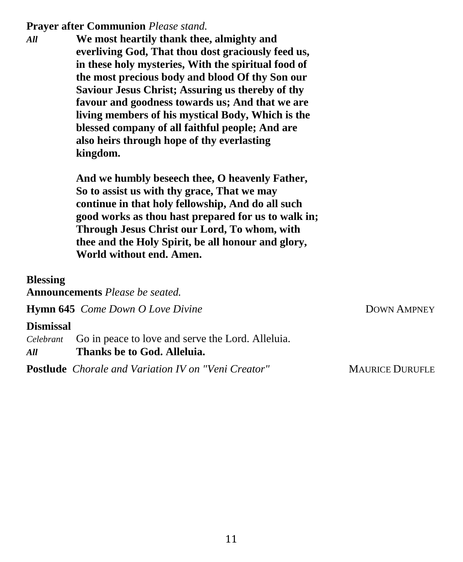#### **Prayer after Communion** *Please stand.*

*All* **We most heartily thank thee, almighty and everliving God, That thou dost graciously feed us, in these holy mysteries, With the spiritual food of the most precious body and blood Of thy Son our Saviour Jesus Christ; Assuring us thereby of thy favour and goodness towards us; And that we are living members of his mystical Body, Which is the blessed company of all faithful people; And are also heirs through hope of thy everlasting kingdom.**

> **And we humbly beseech thee, O heavenly Father, So to assist us with thy grace, That we may continue in that holy fellowship, And do all such good works as thou hast prepared for us to walk in; Through Jesus Christ our Lord, To whom, with thee and the Holy Spirit, be all honour and glory, World without end. Amen.**

**Blessing**

**Announcements** *Please be seated.*

**Hymn 645** *Come Down O Love Divine* **DOWN AMPNEY** 

#### **Dismissal**

*Celebrant* Go in peace to love and serve the Lord. Alleluia. *All* **Thanks be to God. Alleluia.**

**Postlude** Chorale and Variation IV on "Veni Creator" MAURICE DURUFLE